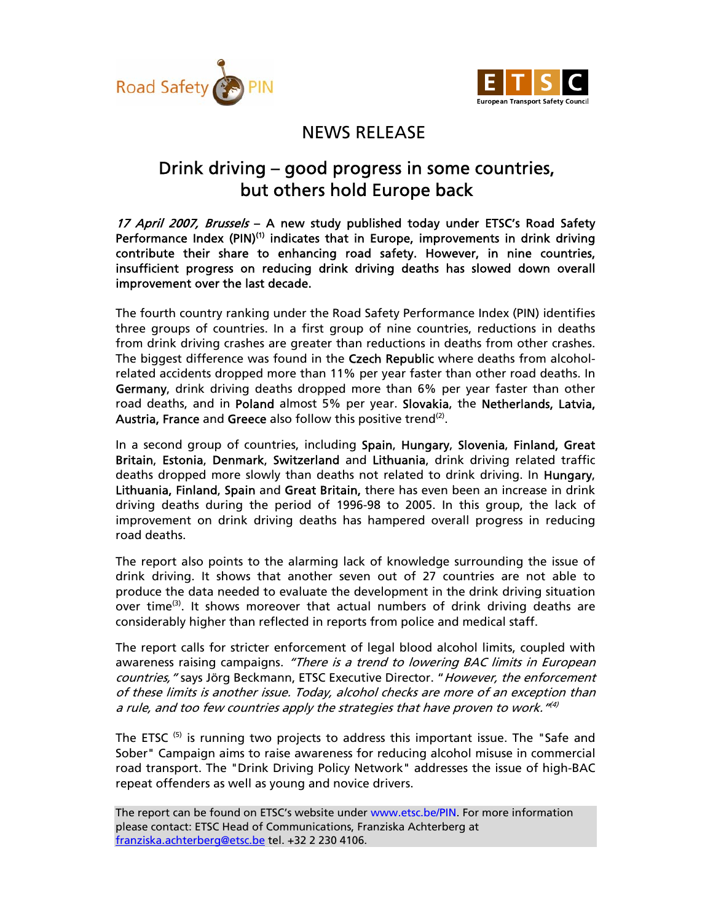



## NEWS RELEASE

## Drink driving – good progress in some countries, but others hold Europe back

17 April 2007, Brussels - A new study published today under ETSC's Road Safety Performance Index (PIN)<sup>(1)</sup> indicates that in Europe, improvements in drink driving contribute their share to enhancing road safety. However, in nine countries, insufficient progress on reducing drink driving deaths has slowed down overall improvement over the last decade.

The fourth country ranking under the Road Safety Performance Index (PIN) identifies three groups of countries. In a first group of nine countries, reductions in deaths from drink driving crashes are greater than reductions in deaths from other crashes. The biggest difference was found in the Czech Republic where deaths from alcoholrelated accidents dropped more than 11% per year faster than other road deaths. In Germany, drink driving deaths dropped more than 6% per year faster than other road deaths, and in Poland almost 5% per year. Slovakia, the Netherlands, Latvia, Austria, France and Greece also follow this positive trend<sup>(2)</sup>.

In a second group of countries, including Spain, Hungary, Slovenia, Finland, Great Britain, Estonia, Denmark, Switzerland and Lithuania, drink driving related traffic deaths dropped more slowly than deaths not related to drink driving. In Hungary, Lithuania, Finland, Spain and Great Britain, there has even been an increase in drink driving deaths during the period of 1996-98 to 2005. In this group, the lack of improvement on drink driving deaths has hampered overall progress in reducing road deaths.

The report also points to the alarming lack of knowledge surrounding the issue of drink driving. It shows that another seven out of 27 countries are not able to produce the data needed to evaluate the development in the drink driving situation over time<sup>(3)</sup>. It shows moreover that actual numbers of drink driving deaths are considerably higher than reflected in reports from police and medical staff.

The report calls for stricter enforcement of legal blood alcohol limits, coupled with awareness raising campaigns. "There is a trend to lowering BAC limits in European countries, " says Jörg Beckmann, ETSC Executive Director. " However, the enforcement of these limits is another issue. Today, alcohol checks are more of an exception than a rule, and too few countries apply the strategies that have proven to work.  $^{\prime\prime\prime})$ 

The ETSC<sup>(5)</sup> is running two projects to address this important issue. The "Safe and Sober" Campaign aims to raise awareness for reducing alcohol misuse in commercial road transport. The "Drink Driving Policy Network" addresses the issue of high-BAC repeat offenders as well as young and novice drivers.

The report can be found on ETSC's website under www.etsc.be/PIN. For more information please contact: ETSC Head of Communications, Franziska Achterberg at franziska.achterberg@etsc.be tel. +32 2 230 4106.